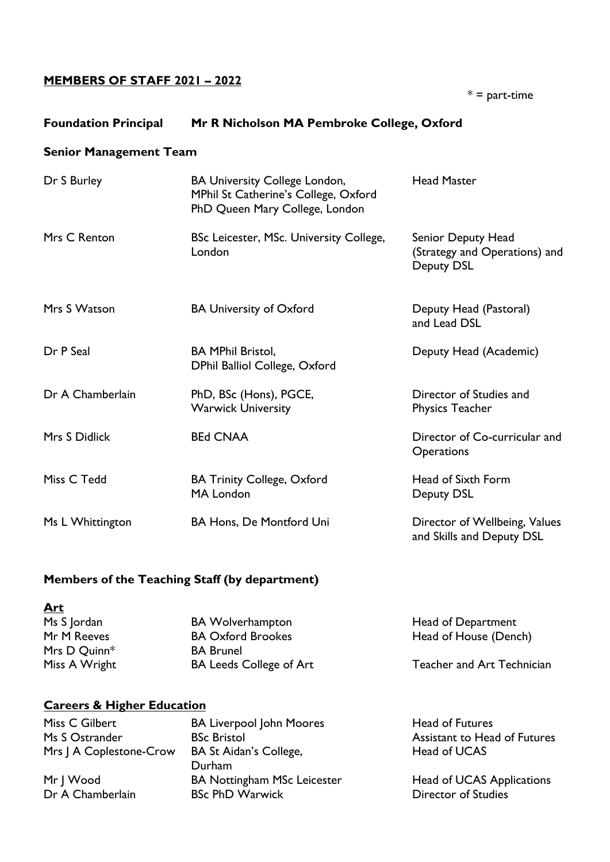# **MEMBERS OF STAFF 2021 – 2022**

 $* =$  part-time

## **Foundation Principal Mr R Nicholson MA Pembroke College, Oxford**

#### **Senior Management Team**

| Dr S Burley      | <b>BA University College London,</b><br>MPhil St Catherine's College, Oxford<br>PhD Queen Mary College, London | <b>Head Master</b>                                                |
|------------------|----------------------------------------------------------------------------------------------------------------|-------------------------------------------------------------------|
| Mrs C Renton     | BSc Leicester, MSc. University College,<br>London                                                              | Senior Deputy Head<br>(Strategy and Operations) and<br>Deputy DSL |
| Mrs S Watson     | <b>BA University of Oxford</b>                                                                                 | Deputy Head (Pastoral)<br>and Lead DSL                            |
| Dr P Seal        | <b>BA MPhil Bristol,</b><br>DPhil Balliol College, Oxford                                                      | Deputy Head (Academic)                                            |
| Dr A Chamberlain | PhD, BSc (Hons), PGCE,<br><b>Warwick University</b>                                                            | Director of Studies and<br><b>Physics Teacher</b>                 |
| Mrs S Didlick    | <b>BEd CNAA</b>                                                                                                | Director of Co-curricular and<br><b>Operations</b>                |
| Miss C Tedd      | <b>BA Trinity College, Oxford</b><br>MA London                                                                 | Head of Sixth Form<br>Deputy DSL                                  |
| Ms L Whittington | BA Hons, De Montford Uni                                                                                       | Director of Wellbeing, Values<br>and Skills and Deputy DSL        |

# **Members of the Teaching Staff (by department)**

**Art** Mrs D Quinn<sup>\*</sup> BA Brunel

Ms S Jordan BA Wolverhampton Head of Department Mr M Reeves BA Oxford Brookes Head of House (Dench) Miss A Wright **BA Leeds College of Art** Teacher and Art Technician

# **Careers & Higher Education**

Miss C Gilbert **BA Liverpool John Moores** Head of Futures Ms S Ostrander **BSc Bristol** BSC Bristol Assistant to Head of Futures Mrs J A Coplestone-Crow BA St Aidan's College, Head of UCAS Durham Mr J Wood BA Nottingham MSc Leicester Head of UCAS Applications Dr A Chamberlain BSc PhD Warwick BRC Burner Chamberlain BSC PhD Warwick BRC BRC BRC BRC Director of Studies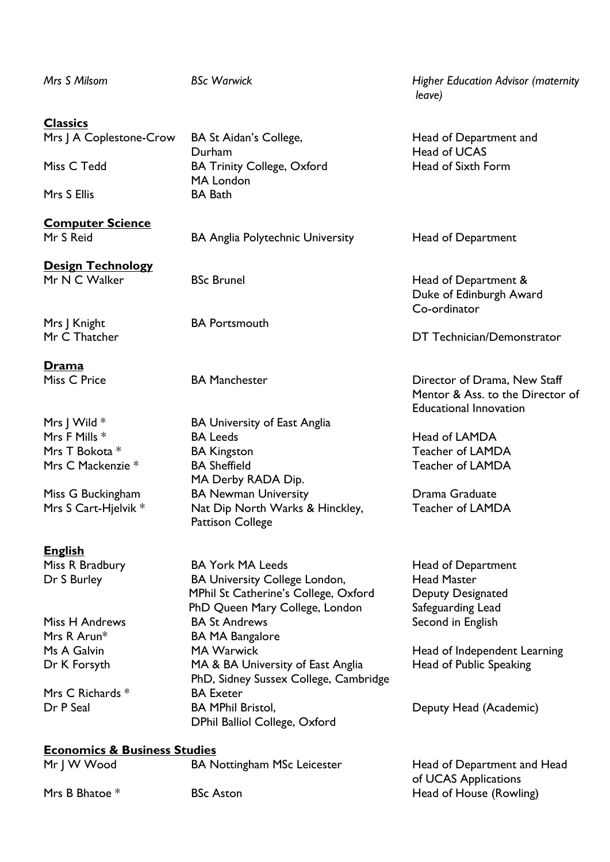| Mrs S Milsom                            | <b>BSc Warwick</b>                                                         | <b>Higher Education Advisor (maternity</b><br>leave)                                              |
|-----------------------------------------|----------------------------------------------------------------------------|---------------------------------------------------------------------------------------------------|
| <b>Classics</b>                         |                                                                            |                                                                                                   |
| Mrs J A Coplestone-Crow                 | BA St Aidan's College,<br>Durham                                           | Head of Department and<br>Head of UCAS                                                            |
| Miss C Tedd                             | <b>BA Trinity College, Oxford</b><br>MA London                             | Head of Sixth Form                                                                                |
| Mrs S Ellis                             | <b>BA Bath</b>                                                             |                                                                                                   |
| <b>Computer Science</b><br>Mr S Reid    | <b>BA Anglia Polytechnic University</b>                                    | Head of Department                                                                                |
| <b>Design Technology</b>                |                                                                            |                                                                                                   |
| Mr N C Walker                           | <b>BSc Brunel</b>                                                          | Head of Department &<br>Duke of Edinburgh Award<br>Co-ordinator                                   |
| Mrs J Knight                            | <b>BA Portsmouth</b>                                                       |                                                                                                   |
| Mr C Thatcher                           |                                                                            | DT Technician/Demonstrator                                                                        |
| Drama                                   |                                                                            |                                                                                                   |
| Miss C Price                            | <b>BA Manchester</b>                                                       | Director of Drama, New Staff<br>Mentor & Ass. to the Director of<br><b>Educational Innovation</b> |
| Mrs J Wild $*$                          | <b>BA University of East Anglia</b>                                        |                                                                                                   |
| Mrs F Mills *                           | <b>BA Leeds</b>                                                            | Head of LAMDA                                                                                     |
| Mrs T Bokota *                          | <b>BA Kingston</b>                                                         | Teacher of LAMDA                                                                                  |
| Mrs C Mackenzie *                       | <b>BA Sheffield</b>                                                        | <b>Teacher of LAMDA</b>                                                                           |
|                                         | MA Derby RADA Dip.                                                         |                                                                                                   |
| Miss G Buckingham                       | <b>BA Newman University</b>                                                | Drama Graduate                                                                                    |
| Mrs S Cart-Hjelvik *                    | Nat Dip North Warks & Hinckley,<br><b>Pattison College</b>                 | Teacher of LAMDA                                                                                  |
| <u>English</u>                          |                                                                            |                                                                                                   |
| Miss R Bradbury                         | <b>BA York MA Leeds</b>                                                    | Head of Department                                                                                |
| Dr S Burley                             | <b>BA University College London,</b>                                       | <b>Head Master</b>                                                                                |
|                                         | MPhil St Catherine's College, Oxford                                       | Deputy Designated                                                                                 |
|                                         | PhD Queen Mary College, London                                             | Safeguarding Lead                                                                                 |
| Miss H Andrews                          | <b>BA St Andrews</b>                                                       | Second in English                                                                                 |
| Mrs R Arun*                             | <b>BA MA Bangalore</b>                                                     |                                                                                                   |
| Ms A Galvin                             | <b>MA Warwick</b>                                                          | Head of Independent Learning                                                                      |
| Dr K Forsyth                            | MA & BA University of East Anglia<br>PhD, Sidney Sussex College, Cambridge | Head of Public Speaking                                                                           |
| Mrs C Richards *                        | <b>BA Exeter</b>                                                           |                                                                                                   |
| Dr P Seal                               | <b>BA MPhil Bristol,</b><br>DPhil Balliol College, Oxford                  | Deputy Head (Academic)                                                                            |
| <b>Economics &amp; Business Studies</b> |                                                                            |                                                                                                   |
| Mr J W Wood                             | <b>BA Nottingham MSc Leicester</b>                                         | Head of Department and Head                                                                       |
|                                         |                                                                            | of UCAS Applications                                                                              |
| Mrs B Bhatoe *                          | <b>BSc Aston</b>                                                           | Head of House (Rowling)                                                                           |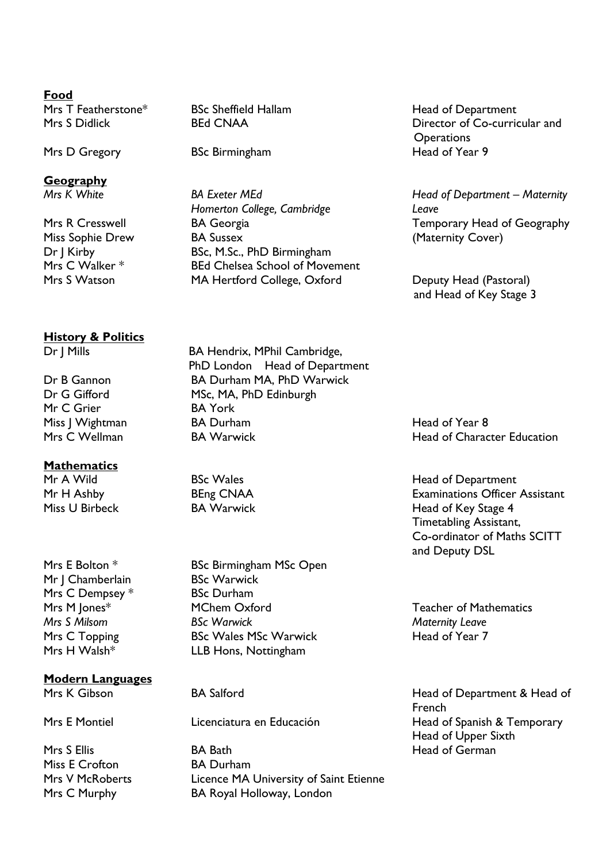#### **Food**

Mrs T Featherstone\* BSc Sheffield Hallam Head of Department

# **Geography**

# **History & Politics**

Mr C Grier BA York

#### **Mathematics**

Mr | Chamberlain BSc Warwick Mrs C Dempsey \* BSc Durham

**Modern Languages**

Miss E Crofton BA Durham

Mrs D Gregory BSc Birmingham

*Mrs K White* BA Exeter MEd Head of Department – Maternity *Homerton College, Cambridge Leave* Mrs R Cresswell **BA Georgia** BA Georgia Temporary Head of Geography Miss Sophie Drew BA Sussex (Maternity Cover) Dr J Kirby BSc, M.Sc., PhD Birmingham Mrs C Walker \* BEd Chelsea School of Movement Mrs S Watson MA Hertford College, Oxford Deputy Head (Pastoral)

Mrs S Didlick BEd CNAA Director of Co-curricular and Operations<br>Head of Year 9

and Head of Key Stage 3

Dr J Mills BA Hendrix, MPhil Cambridge, PhD London Head of Department Dr B Gannon BA Durham MA, PhD Warwick Dr G Gifford MSc, MA, PhD Edinburgh Miss J Wightman BA Durham BA Durham Head of Year 8 Mrs C Wellman **BA Warwick Head of Character Education** 

Mrs E Bolton \* BSc Birmingham MSc Open Mrs M Jones\* MChem Oxford Teacher of Mathematics *Mrs S Milsom BSc Warwick Maternity Leave* Mrs C Topping BSc Wales MSc Warwick Head of Year 7 Mrs H Walsh\* LLB Hons, Nottingham

Mrs S Ellis **BA Bath** BA Bath **Head of German** Mrs V McRoberts **Licence MA University of Saint Etienne** Mrs C Murphy BA Royal Holloway, London

Mr A Wild **BSC Wales** BSC Wales **Head of Department** Mr H Ashby **BEng CNAA** Examinations Officer Assistant Miss U Birbeck BA Warwick Head of Key Stage 4 Timetabling Assistant, Co-ordinator of Maths SCITT and Deputy DSL

Mrs K Gibson BA Salford BA Salford Head of Department & Head of French Mrs E Montiel **Licenciatura en Educación** Head of Spanish & Temporary Head of Upper Sixth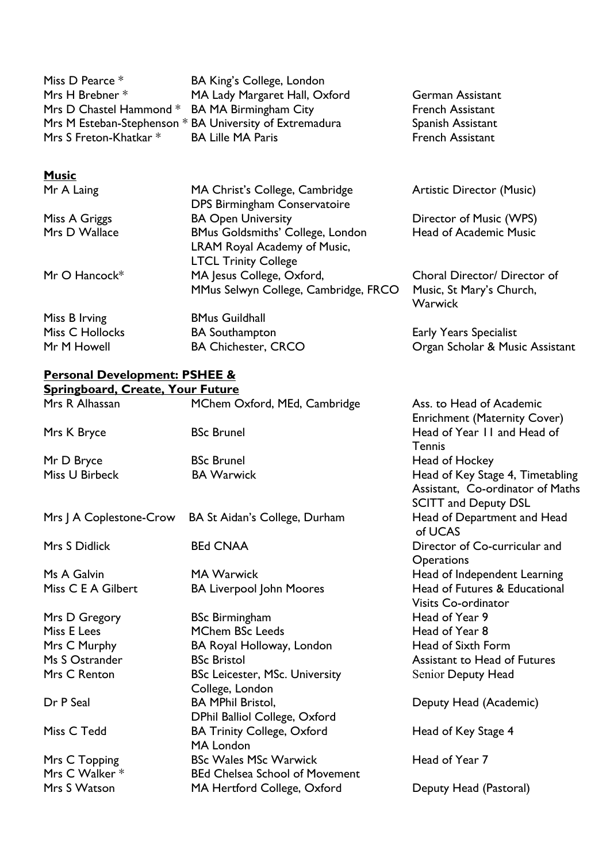| Miss D Pearce *                               | BA King's College, London                               |
|-----------------------------------------------|---------------------------------------------------------|
| Mrs H Brebner *                               | MA Lady Margaret Hall, Oxford                           |
| Mrs D Chastel Hammond * BA MA Birmingham City |                                                         |
|                                               | Mrs M Esteban-Stephenson * BA University of Extremadura |
| Mrs S Freton-Khatkar *                        | <b>BA Lille MA Paris</b>                                |
|                                               |                                                         |

#### **Music**

Mr A Laing MA Christ's College, Cambridge Artistic Director (Music) DPS Birmingham Conservatoire Miss A Griggs **BA Open University** Director of Music (WPS)<br>Mrs D Wallace BMus Goldsmiths' College. London Head of Academic Music BMus Goldsmiths' College, London Head of Academic Music LRAM Royal Academy of Music, LTCL Trinity College Mr O Hancock\* MA Jesus College, Oxford, Choral Director/ Director of MMus Selwyn College, Cambridge, FRCO Music, St Mary's Church, Warwick Miss B Irving BMus Guildhall Miss C Hollocks **BA Southampton** Early Years Specialist Mr M Howell **BA Chichester, CRCO Organ Scholar & Music Assistant** 

German Assistant French Assistant Spanish Assistant French Assistant

#### **Personal Development: PSHEE & Springboard, Create, Your Future**

| <u>Springboard, Create, Your Future</u> |                                                                       |                                                                                                     |
|-----------------------------------------|-----------------------------------------------------------------------|-----------------------------------------------------------------------------------------------------|
| Mrs R Alhassan                          | MChem Oxford, MEd, Cambridge                                          | Ass. to Head of Academic<br><b>Enrichment (Maternity Cover)</b>                                     |
| Mrs K Bryce                             | <b>BSc Brunel</b>                                                     | Head of Year 11 and Head of<br>Tennis                                                               |
| Mr D Bryce                              | <b>BSc Brunel</b>                                                     | Head of Hockey                                                                                      |
| Miss U Birbeck                          | <b>BA Warwick</b>                                                     | Head of Key Stage 4, Timetabling<br>Assistant, Co-ordinator of Maths<br><b>SCITT and Deputy DSL</b> |
| Mrs J A Coplestone-Crow                 | BA St Aidan's College, Durham                                         | Head of Department and Head<br>of UCAS                                                              |
| Mrs S Didlick                           | <b>BEd CNAA</b>                                                       | Director of Co-curricular and<br><b>Operations</b>                                                  |
| Ms A Galvin                             | <b>MA Warwick</b>                                                     | Head of Independent Learning                                                                        |
| Miss C E A Gilbert                      | <b>BA Liverpool John Moores</b>                                       | Head of Futures & Educational<br><b>Visits Co-ordinator</b>                                         |
| Mrs D Gregory                           | <b>BSc Birmingham</b>                                                 | Head of Year 9                                                                                      |
| Miss E Lees                             | <b>MChem BSc Leeds</b>                                                | Head of Year 8                                                                                      |
| Mrs C Murphy                            | BA Royal Holloway, London                                             | Head of Sixth Form                                                                                  |
| Ms S Ostrander                          | <b>BSc Bristol</b>                                                    | <b>Assistant to Head of Futures</b>                                                                 |
| Mrs C Renton                            | <b>BSc Leicester, MSc. University</b><br>College, London              | Senior Deputy Head                                                                                  |
| Dr P Seal                               | <b>BA MPhil Bristol,</b><br>DPhil Balliol College, Oxford             | Deputy Head (Academic)                                                                              |
| Miss C Tedd                             | <b>BA Trinity College, Oxford</b><br><b>MA London</b>                 | Head of Key Stage 4                                                                                 |
| Mrs C Topping<br>Mrs C Walker *         | <b>BSc Wales MSc Warwick</b><br><b>BEd Chelsea School of Movement</b> | Head of Year 7                                                                                      |
| Mrs S Watson                            | MA Hertford College, Oxford                                           | Deputy Head (Pastoral)                                                                              |
|                                         |                                                                       |                                                                                                     |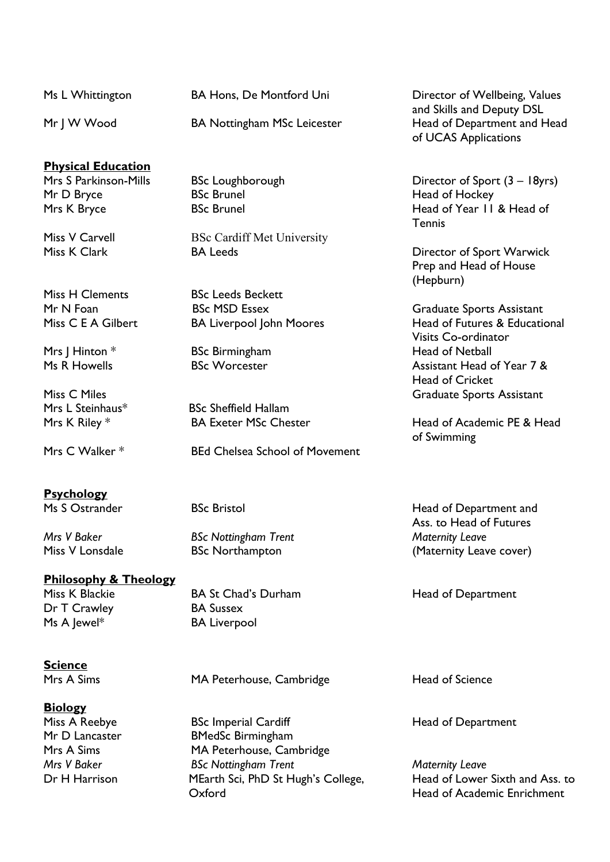| Ms L Whittington          | <b>BA Hons, De Montford Uni</b>    | Director of Wellbeing, Values                                                    |
|---------------------------|------------------------------------|----------------------------------------------------------------------------------|
| Mr   W Wood               | <b>BA Nottingham MSc Leicester</b> | and Skills and Deputy DSL<br>Head of Department and Head<br>of UCAS Applications |
| <b>Physical Education</b> |                                    |                                                                                  |
| Mrs S Parkinson-Mills     | <b>BSc Loughborough</b>            | Director of Sport $(3 - 18yrs)$                                                  |
| Mr D Bryce                | <b>BSc Brunel</b>                  | Head of Hockey                                                                   |

Mrs K Bryce BSc Brunel BSC Brunel Head of Year II & Head of Year II & Head of

# **Psychology**

# **Philosophy & Theology**

Dr T Crawley BA Sussex Ms A Jewel\* BA Liverpool

Miss K Blackie **BA St Chad's Durham** Head of Department

**Science** 

**Biology** 

Mrs A Sims MA Peterhouse, Cambridge Head of Science

Miss A Reebye **BSc Imperial Cardiff Head of Department** Mr D Lancaster BMedSc Birmingham Mrs A Sims MA Peterhouse, Cambridge *Mrs V Baker BSc Nottingham Trent Maternity Leave* Dr H Harrison MEarth Sci, PhD St Hugh's College, Head of Lower Sixth and Ass. to Oxford Head of Academic Enrichment

Miss K Clark BA Leeds BA Leeds Director of Sport Warwick Prep and Head of House (Hepburn)

**Tennis** 

Mr N Foan BSc MSD Essex Graduate Sports Assistant Miss C E A Gilbert BA Liverpool John Moores Head of Futures & Educational Visits Co-ordinator Mrs | Hinton \* BSc Birmingham Head of Netball Ms R Howells **BSC Worcester BSC Worcester** Assistant Head of Year 7 & Head of Cricket Miss C Miles Graduate Sports Assistant

Mrs K Riley \* BA Exeter MSc Chester Head of Academic PE & Head of Swimming

Ms S Ostrander **BSC Bristol** BSC Bristol **Head of Department and** Ass. to Head of Futures Miss V Lonsdale **BSC Northampton BSC Northampton** (Maternity Leave cover)

*Mrs V Baker BSc Nottingham Trent Maternity Leave*

Miss V Carvell BSc Cardiff Met University

Miss H Clements BSc Leeds Beckett

Mrs L Steinhaus\* BSc Sheffield Hallam

Mrs C Walker \* BEd Chelsea School of Movement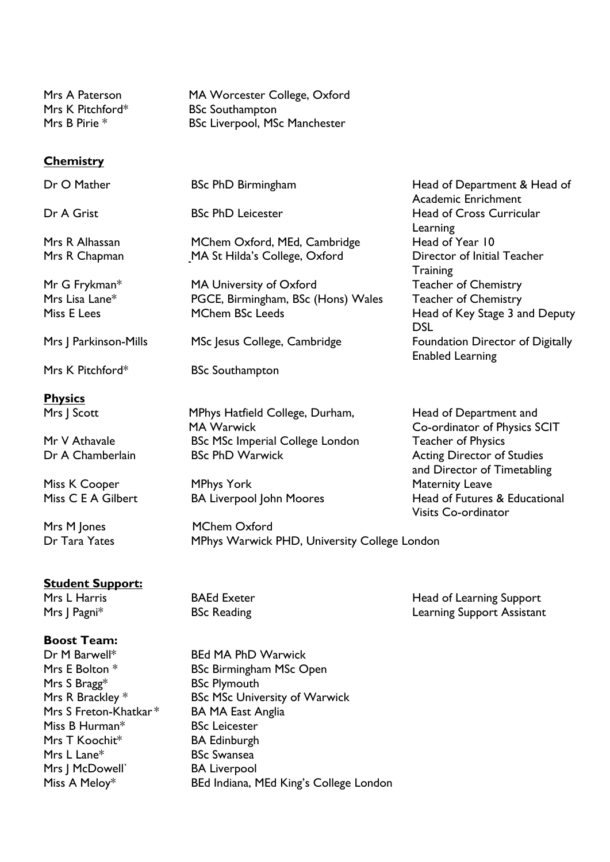| Mrs A Paterson   | MA Worcester College, Oxford         |
|------------------|--------------------------------------|
| Mrs K Pitchford* | <b>BSc Southampton</b>               |
| Mrs B Pirie *    | <b>BSc Liverpool, MSc Manchester</b> |

#### **Chemistry**

| Dr O Mather           | BSc PhD Birmingham                           | Head of Department & Head of<br><b>Academic Enrichment</b> |
|-----------------------|----------------------------------------------|------------------------------------------------------------|
| Dr A Grist            | <b>BSc PhD Leicester</b>                     | Head of Cross Curricular                                   |
|                       |                                              | Learning                                                   |
| Mrs R Alhassan        | MChem Oxford, MEd, Cambridge                 | Head of Year 10                                            |
| Mrs R Chapman         | MA St Hilda's College, Oxford                | Director of Initial Teacher                                |
|                       |                                              | <b>Training</b>                                            |
| Mr G Frykman*         | MA University of Oxford                      | <b>Teacher of Chemistry</b>                                |
| Mrs Lisa Lane*        | PGCE, Birmingham, BSc (Hons) Wales           | <b>Teacher of Chemistry</b>                                |
| Miss E Lees           | <b>MChem BSc Leeds</b>                       | Head of Key Stage 3 and Deputy                             |
|                       |                                              | <b>DSL</b>                                                 |
| Mrs J Parkinson-Mills | MSc Jesus College, Cambridge                 | Foundation Director of Digitally                           |
|                       |                                              | <b>Enabled Learning</b>                                    |
| Mrs K Pitchford*      | <b>BSc Southampton</b>                       |                                                            |
| <b>Physics</b>        |                                              |                                                            |
| Mrs J Scott           | MPhys Hatfield College, Durham,              | Head of Department and                                     |
|                       | <b>MA Warwick</b>                            | Co-ordinator of Physics SCIT                               |
| Mr V Athavale         | <b>BSc MSc Imperial College London</b>       | <b>Teacher of Physics</b>                                  |
| Dr A Chamberlain      | <b>BSc PhD Warwick</b>                       | <b>Acting Director of Studies</b>                          |
|                       |                                              | and Director of Timetabling                                |
| Miss K Cooper         | <b>MPhys York</b>                            | <b>Maternity Leave</b>                                     |
| Miss C E A Gilbert    | <b>BA Liverpool John Moores</b>              | Head of Futures & Educational                              |
|                       |                                              | <b>Visits Co-ordinator</b>                                 |
| Mrs M Jones           | <b>MChem Oxford</b>                          |                                                            |
| Dr Tara Yates         | MPhys Warwick PHD, University College London |                                                            |
|                       |                                              |                                                            |
| Student Sunnort.      |                                              |                                                            |

#### **Student Support:**

Mrs L Harris **Exeter** BAEd Exeter **Head of Learning Support** Mrs J Pagni<sup>\*</sup> Pagni<sup>\*</sup> BSc Reading Pagnit Assistant Learning Support Assistant

# **Boost Team:**

Mrs S Bragg\* BSc Plymouth Mrs S Freton-Khatkar \* BA MA East Anglia Miss B Hurman\* BSc Leicester Mrs T Koochit\* BA Edinburgh Mrs L Lane<sup>\*</sup> BSc Swansea Mrs J McDowell` BA Liverpool

Dr M Barwell\* BEd MA PhD Warwick Mrs E Bolton \* BSc Birmingham MSc Open Mrs R Brackley \* BSc MSc University of Warwick Miss A Meloy\* BEd Indiana, MEd King's College London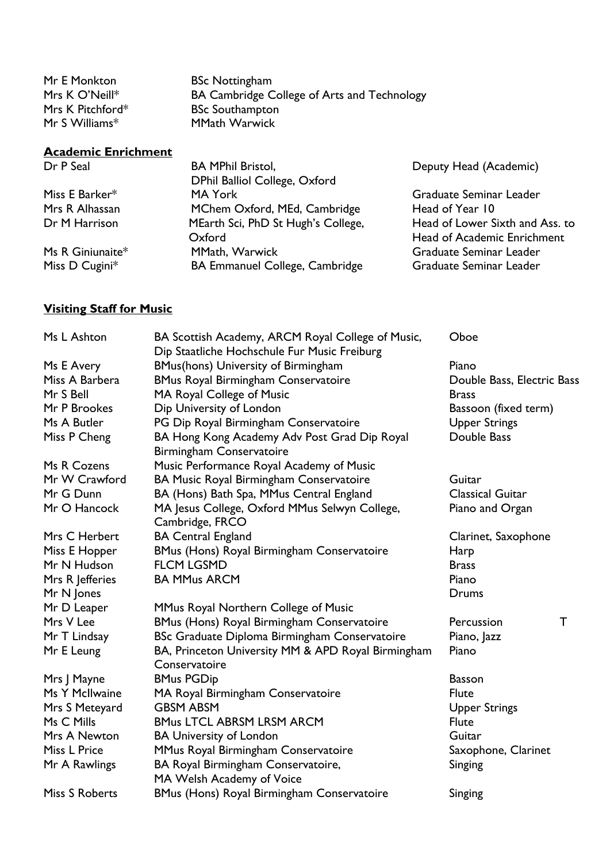| Mr E Monkton     | <b>BSc Nottingham</b>                       |
|------------------|---------------------------------------------|
| Mrs K O'Neill*   | BA Cambridge College of Arts and Technology |
| Mrs K Pitchford* | <b>BSc Southampton</b>                      |
| $Mr S$ Williams* | <b>MMath Warwick</b>                        |

| Dr P Seal        | <b>BA MPhil Bristol,</b><br>DPhil Balliol College, Oxford | Deputy Head (Academic)          |
|------------------|-----------------------------------------------------------|---------------------------------|
| Miss E Barker*   | MA York                                                   | Graduate Seminar Leader         |
| Mrs R Alhassan   | MChem Oxford, MEd, Cambridge                              | Head of Year 10                 |
| Dr M Harrison    | MEarth Sci, PhD St Hugh's College,                        | Head of Lower Sixth and Ass. to |
|                  | Oxford                                                    | Head of Academic Enrichment     |
| Ms R Giniunaite* | MMath, Warwick                                            | Graduate Seminar Leader         |
| Miss D Cugini*   | BA Emmanuel College, Cambridge                            | Graduate Seminar Leader         |
|                  |                                                           |                                 |

# **Visiting Staff for Music**

**Academic Enrichment**

| Ms L Ashton     | BA Scottish Academy, ARCM Royal College of Music,                               | Oboe                       |             |
|-----------------|---------------------------------------------------------------------------------|----------------------------|-------------|
|                 | Dip Staatliche Hochschule Fur Music Freiburg                                    |                            |             |
| Ms E Avery      | BMus(hons) University of Birmingham                                             | Piano                      |             |
| Miss A Barbera  | <b>BMus Royal Birmingham Conservatoire</b>                                      | Double Bass, Electric Bass |             |
| Mr S Bell       | MA Royal College of Music                                                       | <b>Brass</b>               |             |
| Mr P Brookes    | Dip University of London                                                        | Bassoon (fixed term)       |             |
| Ms A Butler     | PG Dip Royal Birmingham Conservatoire                                           | <b>Upper Strings</b>       |             |
| Miss P Cheng    | BA Hong Kong Academy Adv Post Grad Dip Royal<br><b>Birmingham Conservatoire</b> | Double Bass                |             |
| Ms R Cozens     | Music Performance Royal Academy of Music                                        |                            |             |
| Mr W Crawford   | BA Music Royal Birmingham Conservatoire                                         | Guitar                     |             |
| Mr G Dunn       | BA (Hons) Bath Spa, MMus Central England                                        | <b>Classical Guitar</b>    |             |
| Mr O Hancock    | MA Jesus College, Oxford MMus Selwyn College,<br>Cambridge, FRCO                | Piano and Organ            |             |
| Mrs C Herbert   | <b>BA Central England</b>                                                       | Clarinet, Saxophone        |             |
| Miss E Hopper   | <b>BMus (Hons) Royal Birmingham Conservatoire</b>                               | Harp                       |             |
| Mr N Hudson     | <b>FLCM LGSMD</b>                                                               | <b>Brass</b>               |             |
| Mrs R Jefferies | <b>BA MMus ARCM</b>                                                             | Piano                      |             |
| Mr N Jones      |                                                                                 | Drums                      |             |
| Mr D Leaper     | MMus Royal Northern College of Music                                            |                            |             |
| Mrs V Lee       | BMus (Hons) Royal Birmingham Conservatoire                                      | Percussion                 | $\mathsf T$ |
| Mr T Lindsay    | BSc Graduate Diploma Birmingham Conservatoire                                   | Piano, Jazz                |             |
| Mr E Leung      | BA, Princeton University MM & APD Royal Birmingham<br>Conservatoire             | Piano                      |             |
| Mrs J Mayne     | <b>BMus PGDip</b>                                                               | <b>Basson</b>              |             |
| Ms Y McIlwaine  | MA Royal Birmingham Conservatoire                                               | <b>Flute</b>               |             |
| Mrs S Meteyard  | <b>GBSM ABSM</b>                                                                | <b>Upper Strings</b>       |             |
| Ms C Mills      | <b>BMus LTCL ABRSM LRSM ARCM</b>                                                | <b>Flute</b>               |             |
| Mrs A Newton    | <b>BA University of London</b>                                                  | Guitar                     |             |
| Miss L Price    | MMus Royal Birmingham Conservatoire                                             | Saxophone, Clarinet        |             |
| Mr A Rawlings   | BA Royal Birmingham Conservatoire,<br>MA Welsh Academy of Voice                 | Singing                    |             |
| Miss S Roberts  | <b>BMus (Hons) Royal Birmingham Conservatoire</b>                               | Singing                    |             |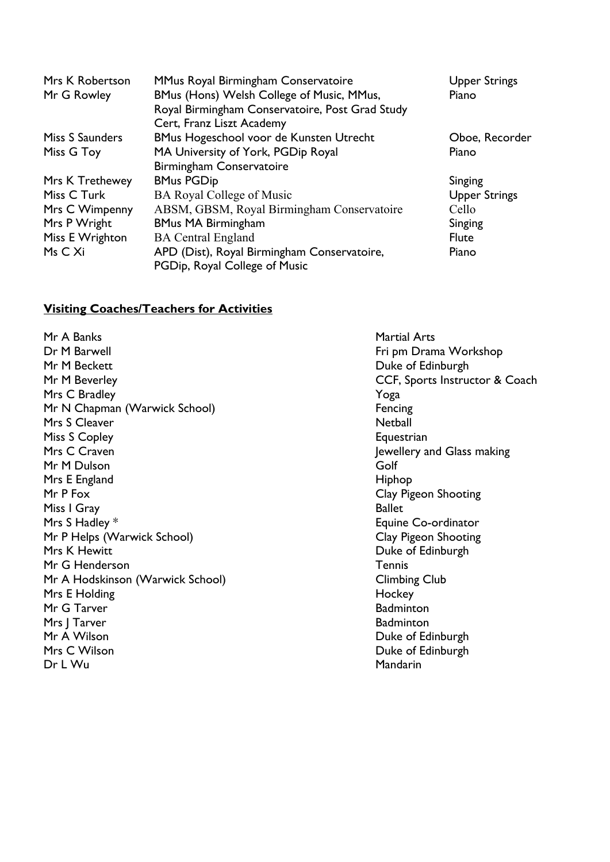| Mrs K Robertson | MMus Royal Birmingham Conservatoire             | <b>Upper Strings</b> |
|-----------------|-------------------------------------------------|----------------------|
| Mr G Rowley     | BMus (Hons) Welsh College of Music, MMus,       | Piano                |
|                 | Royal Birmingham Conservatoire, Post Grad Study |                      |
|                 | Cert, Franz Liszt Academy                       |                      |
| Miss S Saunders | BMus Hogeschool voor de Kunsten Utrecht         | Oboe, Recorder       |
| Miss G Toy      | MA University of York, PGDip Royal              | Piano                |
|                 | Birmingham Conservatoire                        |                      |
| Mrs K Trethewey | <b>BMus PGDip</b>                               | Singing              |
| Miss C Turk     | <b>BA Royal College of Music</b>                | <b>Upper Strings</b> |
| Mrs C Wimpenny  | ABSM, GBSM, Royal Birmingham Conservatoire      | Cello                |
| Mrs P Wright    | <b>BMus MA Birmingham</b>                       | Singing              |
| Miss E Wrighton | <b>BA Central England</b>                       | <b>Flute</b>         |
| Ms C Xi         | APD (Dist), Royal Birmingham Conservatoire,     | Piano                |
|                 | PGDip, Royal College of Music                   |                      |

## **Visiting Coaches/Teachers for Activities**

Mr A Banks Martial Arts Dr M Barwell **Friday Act 10 August 2018** Fri pm Drama Workshop Mr M Beckett **Duke of Edinburgh** Mr M Beverley **CCF, Sports Instructor & Coach** Mrs C Bradley **X** and the Mrs C Bradley **X** and the Mrs C Bradley **X** and the Mrs C Bradley **X** and the Mrs C Bradley **X** and the Mrs C Bradley **X** and the Mrs C Bradley **X** and the Mrs C Bradley **X** and the Mrs C Bradley Mr N Chapman (Warwick School) Fencing Mrs S Cleaver Netball Miss S Copley **Equestrian** Mrs C Craven **Mrs** C Craven **Jewellery** and Glass making Mr M Dulson Golf Mrs E England Hiphop Number 2014 Mr P Fox Clay Pigeon Shooting Miss I Gray Ballet Mrs S Hadley \* **Equine Co-ordinator** Mr P Helps (Warwick School) **Clay Pigeon Shooting** Mrs K Hewitt **Duke of Edinburgh** Mr G Henderson Tennis Mr A Hodskinson (Warwick School) Climbing Club Mrs E Holding **Hockey** Mr G Tarver **Badminton** Mrs J Tarver **Badminton** Mr A Wilson **Duke of Edinburgh** Mrs C Wilson **Duke of Edinburgh** Dr L Wu **Mandarin**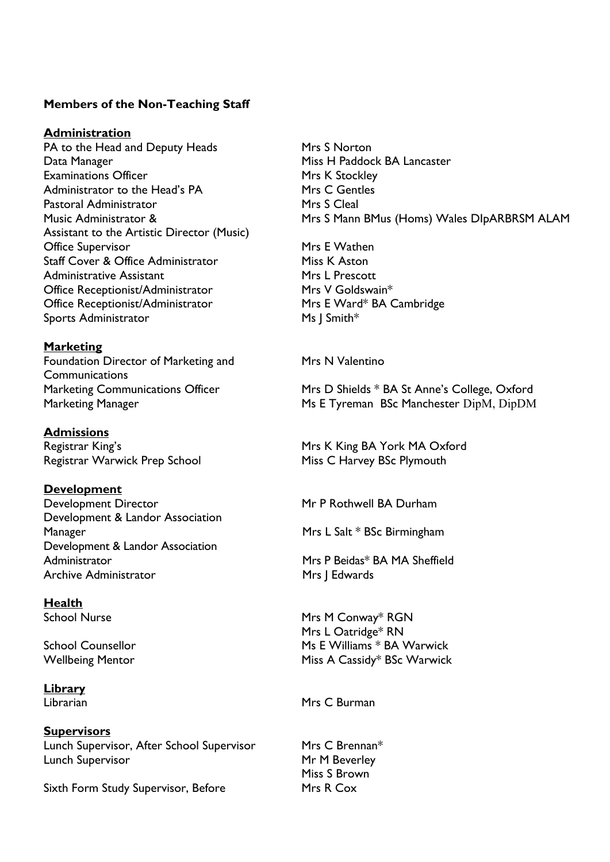# **Members of the Non-Teaching Staff**

#### **Administration**

PA to the Head and Deputy Heads Mrs S Norton Data Manager Miss H Paddock BA Lancaster Examinations Officer **Mrs K** Stockley Administrator to the Head's PA Mrs C Gentles Pastoral Administrator Mrs S Cleal Assistant to the Artistic Director (Music) Office Supervisor **Mrs** E Wathen Staff Cover & Office Administrator Miss K Aston Administrative Assistant Mrs L Prescott Office Receptionist/Administrator Mrs V Goldswain\* Office Receptionist/Administrator Mrs E Ward\* BA Cambridge Sports Administrator Ms J Smith\*

**Marketing** Foundation Director of Marketing and Mrs N Valentino **Communications** 

# **Admissions**

Registrar Warwick Prep School Miss C Harvey BSc Plymouth

# **Development**

Development Director Mr P Rothwell BA Durham Development & Landor Association Manager Manager Mrs L Salt \* BSc Birmingham Development & Landor Association Administrator **Mrs P Beidas\* BA MA Sheffield** Archive Administrator Mrs J Edwards

# **Health**

**Library**

#### **Supervisors**

Lunch Supervisor, After School Supervisor Mrs C Brennan\* Lunch Supervisor **Mr M Beverley** 

Sixth Form Study Supervisor, Before Mrs R Cox

Music Administrator & Mrs S Mann BMus (Homs) Wales DIpARBRSM ALAM

Marketing Communications Officer Mrs D Shields \* BA St Anne's College, Oxford Marketing Manager Ms E Tyreman BSc Manchester DipM, DipDM

Registrar King's North Communications and Mrs K King BA York MA Oxford

School Nurse Mrs M Conway\* RGN Mrs L Oatridge\* RN School Counsellor **Ms E Williams \* BA Warwick** Wellbeing Mentor Miss A Cassidy\* BSc Warwick

Librarian Mrs C Burman Mrs C Burman

Miss S Brown